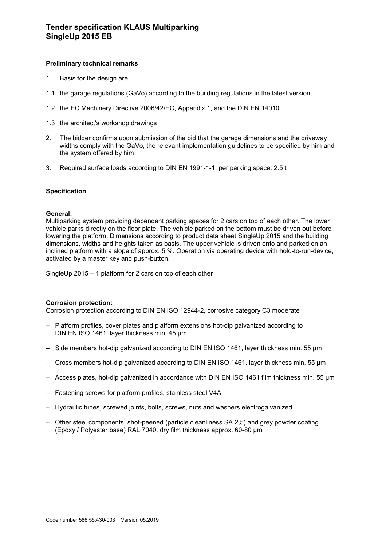# **Preliminary technical remarks**

- 1. Basis for the design are
- 1.1 the garage regulations (GaVo) according to the building regulations in the latest version,
- 1.2 the EC Machinery Directive 2006/42/EC, Appendix 1, and the DIN EN 14010
- 1.3 the architect's workshop drawings
- 2. The bidder confirms upon submission of the bid that the garage dimensions and the driveway widths comply with the GaVo, the relevant implementation guidelines to be specified by him and the system offered by him.
- 3. Required surface loads according to DIN EN 1991-1-1, per parking space: 2.5 t

# **Specification**

#### **General:**

Multiparking system providing dependent parking spaces for 2 cars on top of each other. The lower vehicle parks directly on the floor plate. The vehicle parked on the bottom must be driven out before lowering the platform. Dimensions according to product data sheet SingleUp 2015 and the building dimensions, widths and heights taken as basis. The upper vehicle is driven onto and parked on an inclined platform with a slope of approx. 5 %. Operation via operating device with hold-to-run-device, activated by a master key and push-button.

SingleUp 2015 – 1 platform for 2 cars on top of each other

#### **Corrosion protection:**

Corrosion protection according to DIN EN ISO 12944-2, corrosive category C3 moderate

- Platform profiles, cover plates and platform extensions hot-dip galvanized according to DIN EN ISO 1461, layer thickness min. 45 μm
- Side members hot-dip galvanized according to DIN EN ISO 1461, layer thickness min. 55 μm
- Cross members hot-dip galvanized according to DIN EN ISO 1461, layer thickness min. 55 μm
- Access plates, hot-dip galvanized in accordance with DIN EN ISO 1461 film thickness min. 55 µm
- Fastening screws for platform profiles, stainless steel V4A
- Hydraulic tubes, screwed joints, bolts, screws, nuts and washers electrogalvanized
- Other steel components, shot-peened (particle cleanliness SA 2,5) and grey powder coating (Epoxy / Polyester base) RAL 7040, dry film thickness approx. 60-80 µm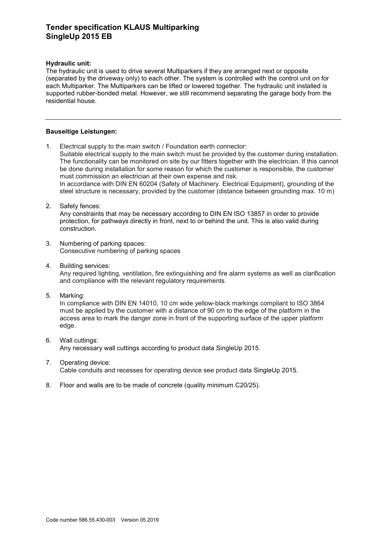# **Tender specification KLAUS Multiparking SingleUp 2015 EB**

## **Hydraulic unit:**

The hydraulic unit is used to drive several Multiparkers if they are arranged next or opposite (separated by the driveway only) to each other. The system is controlled with the control unit on for each Multiparker. The Multiparkers can be lifted or lowered together. The hydraulic unit installed is supported rubber-bonded metal. However, we still recommend separating the garage body from the residential house.

## **Bauseitige Leistungen:**

- 1. Electrical supply to the main switch / Foundation earth connector: Suitable electrical supply to the main switch must be provided by the customer during installation. The functionality can be monitored on site by our fitters together with the electrician. If this cannot be done during installation for some reason for which the customer is responsible, the customer must commission an electrician at their own expense and risk. In accordance with DIN EN 60204 (Safety of Machinery. Electrical Equipment), grounding of the steel structure is necessary, provided by the customer (distance between grounding max. 10 m)
- 2. Safety fences: Any constraints that may be necessary according to DIN EN ISO 13857 in order to provide protection, for pathways directly in front, next to or behind the unit. This is also valid during construction.
- 3. Numbering of parking spaces: Consecutive numbering of parking spaces
- 4. Building services: Any required lighting, ventilation, fire extinguishing and fire alarm systems as well as clarification and compliance with the relevant regulatory requirements.
- 5. Marking:

In compliance with DIN EN 14010, 10 cm wide yellow-black markings compliant to ISO 3864 must be applied by the customer with a distance of 90 cm to the edge of the platform in the access area to mark the danger zone in front of the supporting surface of the upper platform edge.

- 6. Wall cuttings: Any necessary wall cuttings according to product data SingleUp 2015.
- 7. Operating device: Cable conduits and recesses for operating device see product data SingleUp 2015.
- 8. Floor and walls are to be made of concrete (quality minimum C20/25).